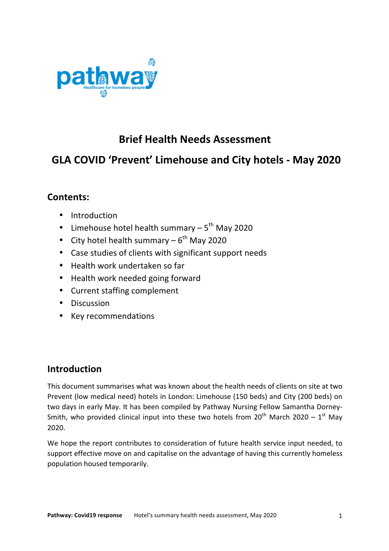

## **Brief Health Needs Assessment**

## **GLA COVID 'Prevent' Limehouse and City hotels - May 2020**

## **Contents:**

- Introduction
- Limehouse hotel health summary  $-5^{th}$  May 2020
- City hotel health summary  $-6^{th}$  May 2020
- Case studies of clients with significant support needs
- Health work undertaken so far
- Health work needed going forward
- Current staffing complement
- Discussion
- Key recommendations

## **Introduction**

This document summarises what was known about the health needs of clients on site at two Prevent (low medical need) hotels in London: Limehouse (150 beds) and City (200 beds) on two days in early May. It has been compiled by Pathway Nursing Fellow Samantha Dorney-Smith, who provided clinical input into these two hotels from  $20^{th}$  March 2020 – 1<sup>st</sup> May 2020.

We hope the report contributes to consideration of future health service input needed, to support effective move on and capitalise on the advantage of having this currently homeless population housed temporarily.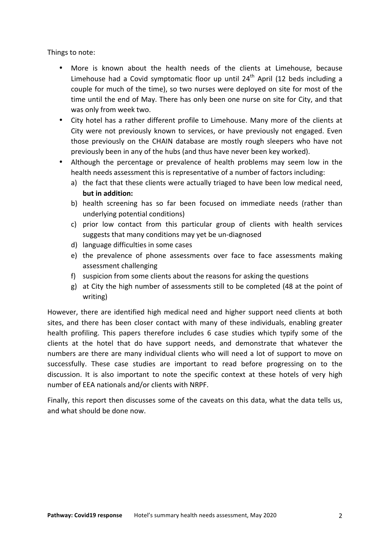Things to note:

- More is known about the health needs of the clients at Limehouse, because Limehouse had a Covid symptomatic floor up until  $24<sup>th</sup>$  April (12 beds including a couple for much of the time), so two nurses were deployed on site for most of the time until the end of May. There has only been one nurse on site for City, and that was only from week two.
- City hotel has a rather different profile to Limehouse. Many more of the clients at City were not previously known to services, or have previously not engaged. Even those previously on the CHAIN database are mostly rough sleepers who have not previously been in any of the hubs (and thus have never been key worked).
- Although the percentage or prevalence of health problems may seem low in the health needs assessment this is representative of a number of factors including:
	- a) the fact that these clients were actually triaged to have been low medical need, **but in addition:**
	- b) health screening has so far been focused on immediate needs (rather than underlying potential conditions)
	- c) prior low contact from this particular group of clients with health services suggests that many conditions may vet be un-diagnosed
	- d) language difficulties in some cases
	- e) the prevalence of phone assessments over face to face assessments making assessment challenging
	- f) suspicion from some clients about the reasons for asking the questions
	- g) at City the high number of assessments still to be completed (48 at the point of writing)

However, there are identified high medical need and higher support need clients at both sites, and there has been closer contact with many of these individuals, enabling greater health profiling. This papers therefore includes 6 case studies which typify some of the clients at the hotel that do have support needs, and demonstrate that whatever the numbers are there are many individual clients who will need a lot of support to move on successfully. These case studies are important to read before progressing on to the discussion. It is also important to note the specific context at these hotels of very high number of EEA nationals and/or clients with NRPF.

Finally, this report then discusses some of the caveats on this data, what the data tells us, and what should be done now.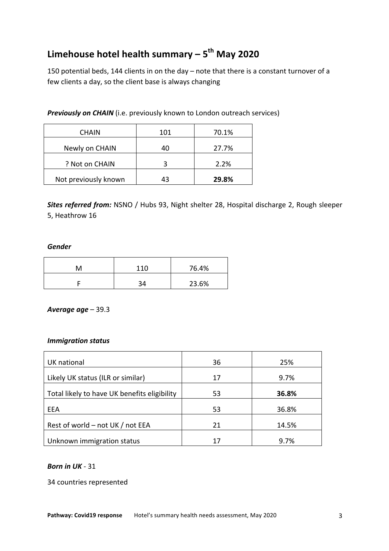# **Limehouse hotel health summary – 5<sup>th</sup> May 2020**

150 potential beds, 144 clients in on the day – note that there is a constant turnover of a few clients a day, so the client base is always changing

**Previously on CHAIN** (i.e. previously known to London outreach services)

| <b>CHAIN</b>         | 101 | 70.1% |
|----------------------|-----|-------|
| Newly on CHAIN       | 40  | 27.7% |
| ? Not on CHAIN       | ς   | 2.2%  |
| Not previously known | 43  | 29.8% |

**Sites referred from:** NSNO / Hubs 93, Night shelter 28, Hospital discharge 2, Rough sleeper 5, Heathrow 16

#### *Gender*

| M | 110 | 76.4% |
|---|-----|-------|
|   | 34  | 23.6% |

*Average age* – 39.3

#### *Immigration status*

| UK national                                  | 36 | 25%   |
|----------------------------------------------|----|-------|
| Likely UK status (ILR or similar)            | 17 | 9.7%  |
| Total likely to have UK benefits eligibility | 53 | 36.8% |
| EEA                                          | 53 | 36.8% |
| Rest of world – not UK / not EEA             | 21 | 14.5% |
| Unknown immigration status                   | 17 | 9.7%  |

#### *Born in UK -* 31

34 countries represented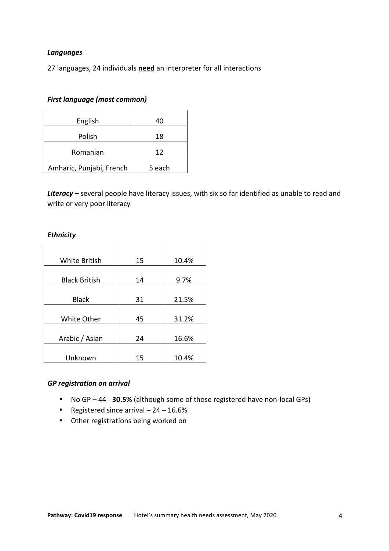#### *Languages*

27 languages, 24 individuals need an interpreter for all interactions

#### **First language (most common)**

| English                  | 40     |
|--------------------------|--------|
| Polish                   | 18     |
| Romanian                 | 12     |
| Amharic, Punjabi, French | 5 each |

Literacy – several people have literacy issues, with six so far identified as unable to read and write or very poor literacy

#### *Ethnicity*

| <b>White British</b> | 15 | 10.4% |
|----------------------|----|-------|
| <b>Black British</b> | 14 | 9.7%  |
| <b>Black</b>         | 31 | 21.5% |
| White Other          | 45 | 31.2% |
| Arabic / Asian       | 24 | 16.6% |
| Unknown              | 15 | 10.4% |

#### *GP registration on arrival*

- No GP 44 30.5% (although some of those registered have non-local GPs)
- Registered since arrival  $-24 16.6%$
- Other registrations being worked on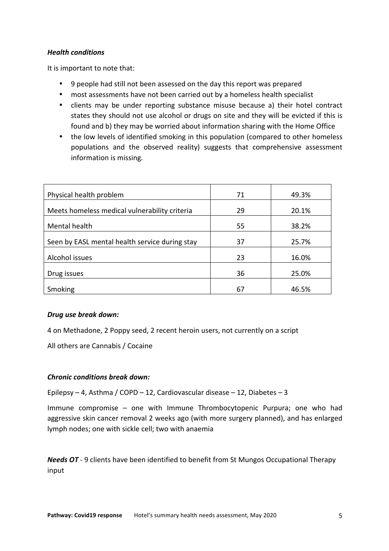#### *Health conditions*

It is important to note that:

- 9 people had still not been assessed on the day this report was prepared
- most assessments have not been carried out by a homeless health specialist
- clients may be under reporting substance misuse because a) their hotel contract states they should not use alcohol or drugs on site and they will be evicted if this is found and b) they may be worried about information sharing with the Home Office
- the low levels of identified smoking in this population (compared to other homeless populations and the observed reality) suggests that comprehensive assessment information is missing.

| Physical health problem                        | 71 | 49.3% |
|------------------------------------------------|----|-------|
| Meets homeless medical vulnerability criteria  | 29 | 20.1% |
| Mental health                                  | 55 | 38.2% |
| Seen by EASL mental health service during stay | 37 | 25.7% |
| Alcohol issues                                 | 23 | 16.0% |
| Drug issues                                    | 36 | 25.0% |
| Smoking                                        | 67 | 46.5% |

#### *Drug use break down:*

4 on Methadone, 2 Poppy seed, 2 recent heroin users, not currently on a script

All others are Cannabis / Cocaine

#### *Chronic conditions break down:*

Epilepsy – 4, Asthma / COPD – 12, Cardiovascular disease – 12, Diabetes – 3

Immune compromise  $-$  one with Immune Thrombocytopenic Purpura; one who had aggressive skin cancer removal 2 weeks ago (with more surgery planned), and has enlarged lymph nodes; one with sickle cell; two with anaemia

*Needs OT* - 9 clients have been identified to benefit from St Mungos Occupational Therapy input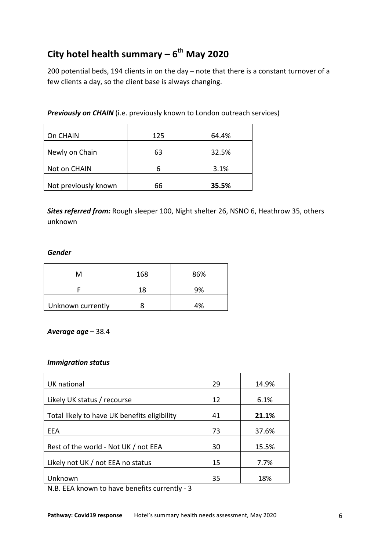# **City hotel health summary – 6th May 2020**

200 potential beds, 194 clients in on the day – note that there is a constant turnover of a few clients a day, so the client base is always changing.

**Previously on CHAIN** (i.e. previously known to London outreach services)

| On CHAIN             | 125 | 64.4% |
|----------------------|-----|-------|
| Newly on Chain       | 63  | 32.5% |
| Not on CHAIN         |     | 3.1%  |
| Not previously known | 66  | 35.5% |

**Sites referred from:** Rough sleeper 100, Night shelter 26, NSNO 6, Heathrow 35, others unknown

#### *Gender*

| M                 | 168 | 86% |
|-------------------|-----|-----|
|                   | 18  | 9%  |
| Unknown currently |     | 4%  |

#### *Average age* – 38.4

#### *Immigration status*

| 29 | 14.9% |
|----|-------|
| 12 | 6.1%  |
| 41 | 21.1% |
| 73 | 37.6% |
| 30 | 15.5% |
| 15 | 7.7%  |
| 35 | 18%   |
|    |       |

N.B. EEA known to have benefits currently - 3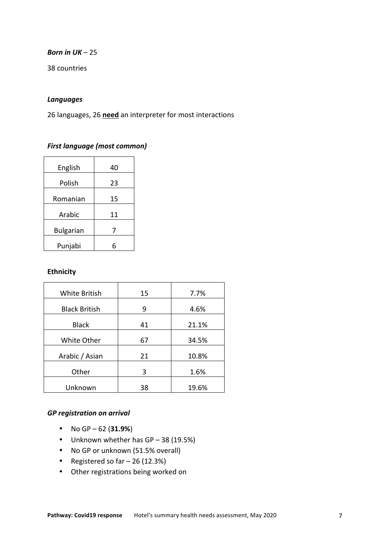#### **Born in UK – 25**

38 countries

#### *Languages*

26 languages, 26 need an interpreter for most interactions

#### **First language (most common)**

| English          | 40 |
|------------------|----|
| Polish           | 23 |
| Romanian         | 15 |
| Arabic           | 11 |
| <b>Bulgarian</b> | 7  |
| Punjabi          | հ  |

#### **Ethnicity**

| White British        | 15 | 7.7%  |
|----------------------|----|-------|
| <b>Black British</b> | 9  | 4.6%  |
| <b>Black</b>         | 41 | 21.1% |
| White Other          | 67 | 34.5% |
| Arabic / Asian       | 21 | 10.8% |
| Other                | 3  | 1.6%  |
| Unknown              | 38 | 19.6% |

#### *GP registration on arrival*

- No  $GP 62$  (**31.9%**)
- Unknown whether has GP 38 (19.5%)
- No GP or unknown (51.5% overall)
- Registered so  $far 26$  (12.3%)
- Other registrations being worked on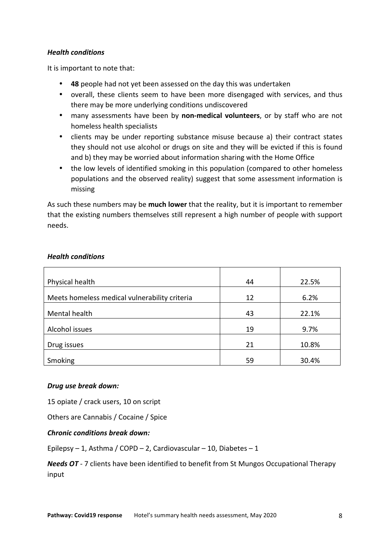#### *Health conditions*

It is important to note that:

- 48 people had not yet been assessed on the day this was undertaken
- overall, these clients seem to have been more disengaged with services, and thus there may be more underlying conditions undiscovered
- many assessments have been by non-medical volunteers, or by staff who are not homeless health specialists
- clients may be under reporting substance misuse because a) their contract states they should not use alcohol or drugs on site and they will be evicted if this is found and b) they may be worried about information sharing with the Home Office
- the low levels of identified smoking in this population (compared to other homeless populations and the observed reality) suggest that some assessment information is missing

As such these numbers may be **much lower** that the reality, but it is important to remember that the existing numbers themselves still represent a high number of people with support needs.

#### *Health conditions*

| Physical health                               | 44 | 22.5% |
|-----------------------------------------------|----|-------|
|                                               |    |       |
| Meets homeless medical vulnerability criteria | 12 | 6.2%  |
| Mental health                                 | 43 | 22.1% |
| Alcohol issues                                | 19 | 9.7%  |
| Drug issues                                   | 21 | 10.8% |
| Smoking                                       | 59 | 30.4% |

#### *Drug use break down:*

15 opiate / crack users, 10 on script

Others are Cannabis / Cocaine / Spice

#### *Chronic conditions break down:*

Epilepsy – 1, Asthma / COPD – 2, Cardiovascular – 10, Diabetes – 1

*Needs OT* - 7 clients have been identified to benefit from St Mungos Occupational Therapy input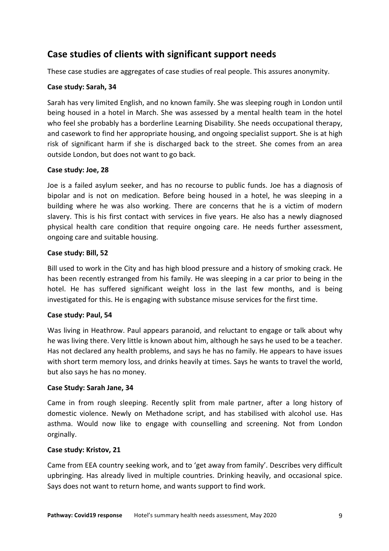## **Case studies of clients with significant support needs**

These case studies are aggregates of case studies of real people. This assures anonymity.

#### **Case study: Sarah, 34**

Sarah has very limited English, and no known family. She was sleeping rough in London until being housed in a hotel in March. She was assessed by a mental health team in the hotel who feel she probably has a borderline Learning Disability. She needs occupational therapy, and casework to find her appropriate housing, and ongoing specialist support. She is at high risk of significant harm if she is discharged back to the street. She comes from an area outside London, but does not want to go back.

#### **Case study: Joe, 28**

Joe is a failed asylum seeker, and has no recourse to public funds. Joe has a diagnosis of bipolar and is not on medication. Before being housed in a hotel, he was sleeping in a building where he was also working. There are concerns that he is a victim of modern slavery. This is his first contact with services in five years. He also has a newly diagnosed physical health care condition that require ongoing care. He needs further assessment, ongoing care and suitable housing.

#### **Case study: Bill, 52**

Bill used to work in the City and has high blood pressure and a history of smoking crack. He has been recently estranged from his family. He was sleeping in a car prior to being in the hotel. He has suffered significant weight loss in the last few months, and is being investigated for this. He is engaging with substance misuse services for the first time.

#### **Case study: Paul, 54**

Was living in Heathrow. Paul appears paranoid, and reluctant to engage or talk about why he was living there. Very little is known about him, although he says he used to be a teacher. Has not declared any health problems, and says he has no family. He appears to have issues with short term memory loss, and drinks heavily at times. Says he wants to travel the world, but also says he has no money.

#### **Case Study: Sarah Jane, 34**

Came in from rough sleeping. Recently split from male partner, after a long history of domestic violence. Newly on Methadone script, and has stabilised with alcohol use. Has asthma. Would now like to engage with counselling and screening. Not from London orginally.

#### **Case study: Kristov, 21**

Came from EEA country seeking work, and to 'get away from family'. Describes very difficult upbringing. Has already lived in multiple countries. Drinking heavily, and occasional spice. Says does not want to return home, and wants support to find work.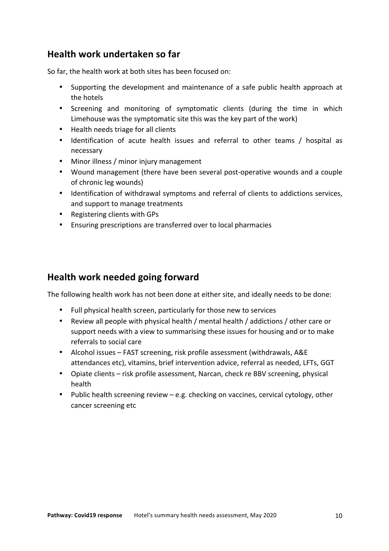## **Health work undertaken so far**

So far, the health work at both sites has been focused on:

- Supporting the development and maintenance of a safe public health approach at the hotels
- Screening and monitoring of symptomatic clients (during the time in which Limehouse was the symptomatic site this was the key part of the work)
- Health needs triage for all clients
- Identification of acute health issues and referral to other teams / hospital as necessary
- Minor illness / minor injury management
- Wound management (there have been several post-operative wounds and a couple of chronic leg wounds)
- Identification of withdrawal symptoms and referral of clients to addictions services, and support to manage treatments
- Registering clients with GPs
- Ensuring prescriptions are transferred over to local pharmacies

## **Health work needed going forward**

The following health work has not been done at either site, and ideally needs to be done:

- Full physical health screen, particularly for those new to services
- Review all people with physical health / mental health / addictions / other care or support needs with a view to summarising these issues for housing and or to make referrals to social care
- Alcohol issues FAST screening, risk profile assessment (withdrawals, A&E attendances etc), vitamins, brief intervention advice, referral as needed, LFTs, GGT
- Opiate clients risk profile assessment, Narcan, check re BBV screening, physical health
- Public health screening review  $-e.g.$  checking on vaccines, cervical cytology, other cancer screening etc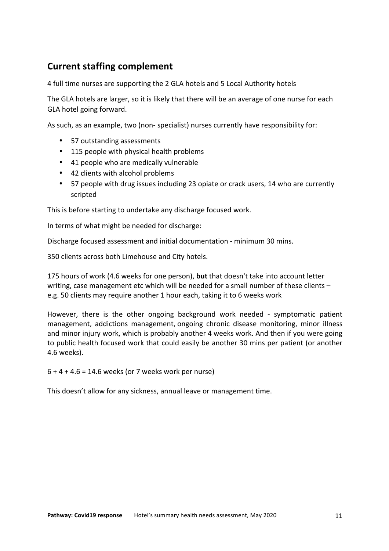## **Current staffing complement**

4 full time nurses are supporting the 2 GLA hotels and 5 Local Authority hotels

The GLA hotels are larger, so it is likely that there will be an average of one nurse for each GLA hotel going forward.

As such, as an example, two (non- specialist) nurses currently have responsibility for:

- 57 outstanding assessments
- 115 people with physical health problems
- 41 people who are medically vulnerable
- 42 clients with alcohol problems
- 57 people with drug issues including 23 opiate or crack users, 14 who are currently scripted

This is before starting to undertake any discharge focused work.

In terms of what might be needed for discharge:

Discharge focused assessment and initial documentation - minimum 30 mins.

350 clients across both Limehouse and City hotels.

175 hours of work (4.6 weeks for one person), **but** that doesn't take into account letter writing, case management etc which will be needed for a small number of these clients  $$ e.g. 50 clients may require another 1 hour each, taking it to 6 weeks work

However, there is the other ongoing background work needed - symptomatic patient management, addictions management, ongoing chronic disease monitoring, minor illness and minor injury work, which is probably another 4 weeks work. And then if you were going to public health focused work that could easily be another 30 mins per patient (or another 4.6 weeks).

 $6 + 4 + 4.6 = 14.6$  weeks (or 7 weeks work per nurse)

This doesn't allow for any sickness, annual leave or management time.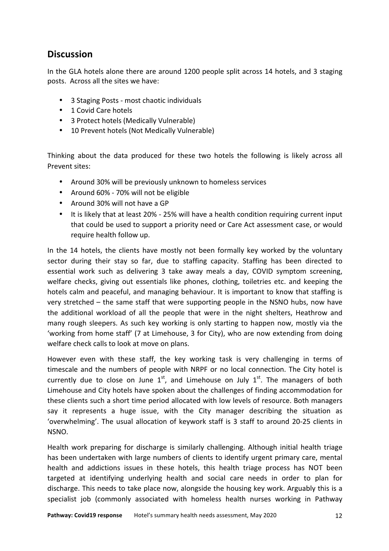### **Discussion**

In the GLA hotels alone there are around 1200 people split across 14 hotels, and 3 staging posts. Across all the sites we have:

- 3 Staging Posts most chaotic individuals
- 1 Covid Care hotels
- 3 Protect hotels (Medically Vulnerable)
- 10 Prevent hotels (Not Medically Vulnerable)

Thinking about the data produced for these two hotels the following is likely across all Prevent sites:

- Around 30% will be previously unknown to homeless services
- Around 60% 70% will not be eligible
- Around 30% will not have a GP
- It is likely that at least 20% 25% will have a health condition requiring current input that could be used to support a priority need or Care Act assessment case, or would require health follow up.

In the 14 hotels, the clients have mostly not been formally key worked by the voluntary sector during their stay so far, due to staffing capacity. Staffing has been directed to essential work such as delivering 3 take away meals a day, COVID symptom screening, welfare checks, giving out essentials like phones, clothing, toiletries etc. and keeping the hotels calm and peaceful, and managing behaviour. It is important to know that staffing is very stretched – the same staff that were supporting people in the NSNO hubs, now have the additional workload of all the people that were in the night shelters, Heathrow and many rough sleepers. As such key working is only starting to happen now, mostly via the 'working from home staff' (7 at Limehouse, 3 for City), who are now extending from doing welfare check calls to look at move on plans.

However even with these staff, the key working task is very challenging in terms of timescale and the numbers of people with NRPF or no local connection. The City hotel is currently due to close on June  $1<sup>st</sup>$ , and Limehouse on July  $1<sup>st</sup>$ . The managers of both Limehouse and City hotels have spoken about the challenges of finding accommodation for these clients such a short time period allocated with low levels of resource. Both managers say it represents a huge issue, with the City manager describing the situation as 'overwhelming'. The usual allocation of keywork staff is 3 staff to around 20-25 clients in NSNO.

Health work preparing for discharge is similarly challenging. Although initial health triage has been undertaken with large numbers of clients to identify urgent primary care, mental health and addictions issues in these hotels, this health triage process has NOT been targeted at identifying underlying health and social care needs in order to plan for discharge. This needs to take place now, alongside the housing key work. Arguably this is a specialist job (commonly associated with homeless health nurses working in Pathway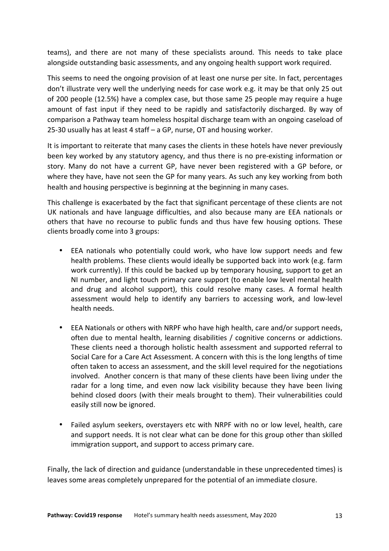teams), and there are not many of these specialists around. This needs to take place alongside outstanding basic assessments, and any ongoing health support work required.

This seems to need the ongoing provision of at least one nurse per site. In fact, percentages don't illustrate very well the underlying needs for case work e.g. it may be that only 25 out of 200 people (12.5%) have a complex case, but those same 25 people may require a huge amount of fast input if they need to be rapidly and satisfactorily discharged. By way of comparison a Pathway team homeless hospital discharge team with an ongoing caseload of 25-30 usually has at least 4 staff  $-$  a GP, nurse, OT and housing worker.

It is important to reiterate that many cases the clients in these hotels have never previously been key worked by any statutory agency, and thus there is no pre-existing information or story. Many do not have a current GP, have never been registered with a GP before, or where they have, have not seen the GP for many years. As such any key working from both health and housing perspective is beginning at the beginning in many cases.

This challenge is exacerbated by the fact that significant percentage of these clients are not UK nationals and have language difficulties, and also because many are EEA nationals or others that have no recourse to public funds and thus have few housing options. These clients broadly come into 3 groups:

- EEA nationals who potentially could work, who have low support needs and few health problems. These clients would ideally be supported back into work (e.g. farm work currently). If this could be backed up by temporary housing, support to get an NI number, and light touch primary care support (to enable low level mental health and drug and alcohol support), this could resolve many cases. A formal health assessment would help to identify any barriers to accessing work, and low-level health needs.
- EEA Nationals or others with NRPF who have high health, care and/or support needs, often due to mental health, learning disabilities / cognitive concerns or addictions. These clients need a thorough holistic health assessment and supported referral to Social Care for a Care Act Assessment. A concern with this is the long lengths of time often taken to access an assessment, and the skill level required for the negotiations involved. Another concern is that many of these clients have been living under the radar for a long time, and even now lack visibility because they have been living behind closed doors (with their meals brought to them). Their vulnerabilities could easily still now be ignored.
- Failed asylum seekers, overstayers etc with NRPF with no or low level, health, care and support needs. It is not clear what can be done for this group other than skilled immigration support, and support to access primary care.

Finally, the lack of direction and guidance (understandable in these unprecedented times) is leaves some areas completely unprepared for the potential of an immediate closure.